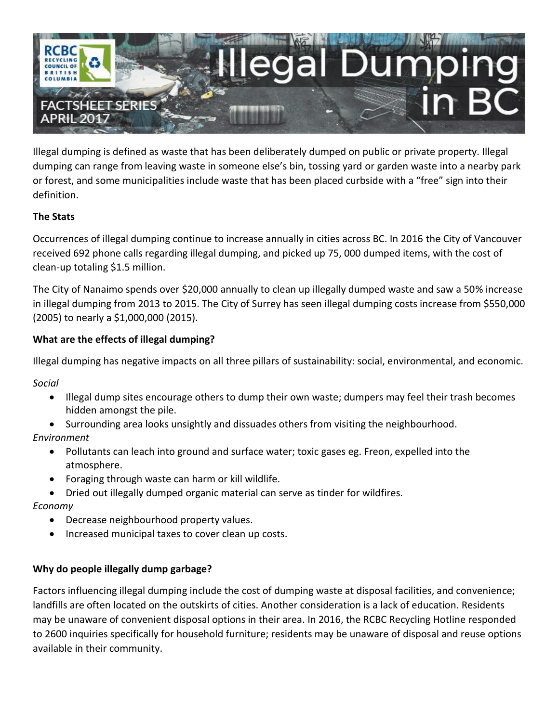

Illegal dumping is defined as waste that has been deliberately dumped on public or private property. Illegal dumping can range from leaving waste in someone else's bin, tossing yard or garden waste into a nearby park or forest, and some municipalities include waste that has been placed curbside with a "free" sign into their definition.

## **The Stats**

Occurrences of illegal dumping continue to increase annually in cities across BC. In 2016 the City of Vancouver received 692 phone calls regarding illegal dumping, and picked up 75, 000 dumped items, with the cost of clean-up totaling \$1.5 million.

The City of Nanaimo spends over \$20,000 annually to clean up illegally dumped waste and saw a 50% increase in illegal dumping from 2013 to 2015. The City of Surrey has seen illegal dumping costs increase from \$550,000 (2005) to nearly a \$1,000,000 (2015).

## **What are the effects of illegal dumping?**

Illegal dumping has negative impacts on all three pillars of sustainability: social, environmental, and economic.

*Social*

- Illegal dump sites encourage others to dump their own waste; dumpers may feel their trash becomes hidden amongst the pile.
- Surrounding area looks unsightly and dissuades others from visiting the neighbourhood.

## *Environment*

- Pollutants can leach into ground and surface water; toxic gases eg. Freon, expelled into the atmosphere.
- Foraging through waste can harm or kill wildlife.
- Dried out illegally dumped organic material can serve as tinder for wildfires.

## *Economy*

- Decrease neighbourhood property values.
- Increased municipal taxes to cover clean up costs.

## **Why do people illegally dump garbage?**

Factors influencing illegal dumping include the cost of dumping waste at disposal facilities, and convenience; landfills are often located on the outskirts of cities. Another consideration is a lack of education. Residents may be unaware of convenient disposal options in their area. In 2016, the RCBC Recycling Hotline responded to 2600 inquiries specifically for household furniture; residents may be unaware of disposal and reuse options available in their community.